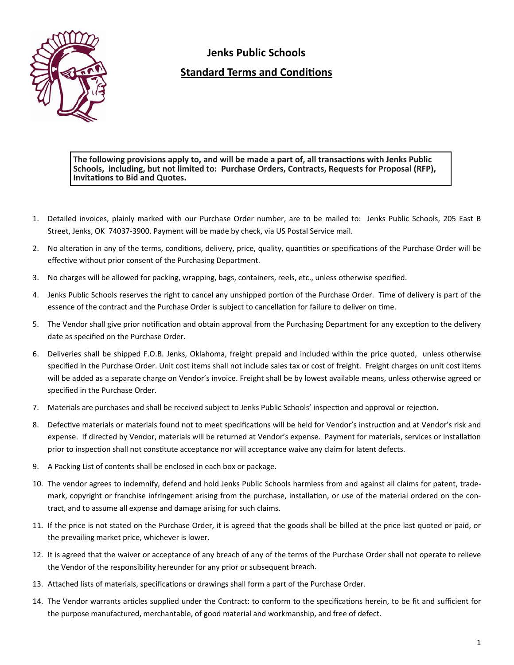

## **Jenks Public Schools Standard Terms and Conditions**

The following provisions apply to, and will be made a part of, all transactions with Jenks Public **Schools, including, but not limited to: Purchase Orders, Contracts, Requests for Proposal (RFP), InvitaƟons to Bid and Quotes.**

- 1. Detailed invoices, plainly marked with our Purchase Order number, are to be mailed to: Jenks Public Schools, 205 East B Street, Jenks, OK 74037‐3900. Payment will be made by check, via US Postal Service mail.
- 2. No alteration in any of the terms, conditions, delivery, price, quality, quantities or specifications of the Purchase Order will be effective without prior consent of the Purchasing Department.
- 3. No charges will be allowed for packing, wrapping, bags, containers, reels, etc., unless otherwise specified.
- 4. Jenks Public Schools reserves the right to cancel any unshipped portion of the Purchase Order. Time of delivery is part of the essence of the contract and the Purchase Order is subject to cancellation for failure to deliver on time.
- 5. The Vendor shall give prior notification and obtain approval from the Purchasing Department for any exception to the delivery date as specified on the Purchase Order.
- 6. Deliveries shall be shipped F.O.B. Jenks, Oklahoma, freight prepaid and included within the price quoted, unless otherwise specified in the Purchase Order. Unit cost items shall not include sales tax or cost of freight. Freight charges on unit cost items will be added as a separate charge on Vendor's invoice. Freight shall be by lowest available means, unless otherwise agreed or specified in the Purchase Order.
- 7. Materials are purchases and shall be received subject to Jenks Public Schools' inspection and approval or rejection.
- 8. Defective materials or materials found not to meet specifications will be held for Vendor's instruction and at Vendor's risk and expense. If directed by Vendor, materials will be returned at Vendor's expense. Payment for materials, services or installation prior to inspection shall not constitute acceptance nor will acceptance waive any claim for latent defects.
- 9. A Packing List of contents shall be enclosed in each box or package.
- 10. The vendor agrees to indemnify, defend and hold Jenks Public Schools harmless from and against all claims for patent, trade‐ mark, copyright or franchise infringement arising from the purchase, installation, or use of the material ordered on the contract, and to assume all expense and damage arising for such claims.
- 11. If the price is not stated on the Purchase Order, it is agreed that the goods shall be billed at the price last quoted or paid, or the prevailing market price, whichever is lower.
- 12. It is agreed that the waiver or acceptance of any breach of any of the terms of the Purchase Order shall not operate to relieve the Vendor of the responsibility hereunder for any prior or subsequent breach.
- 13. Attached lists of materials, specifications or drawings shall form a part of the Purchase Order.
- 14. The Vendor warrants articles supplied under the Contract: to conform to the specifications herein, to be fit and sufficient for the purpose manufactured, merchantable, of good material and workmanship, and free of defect.